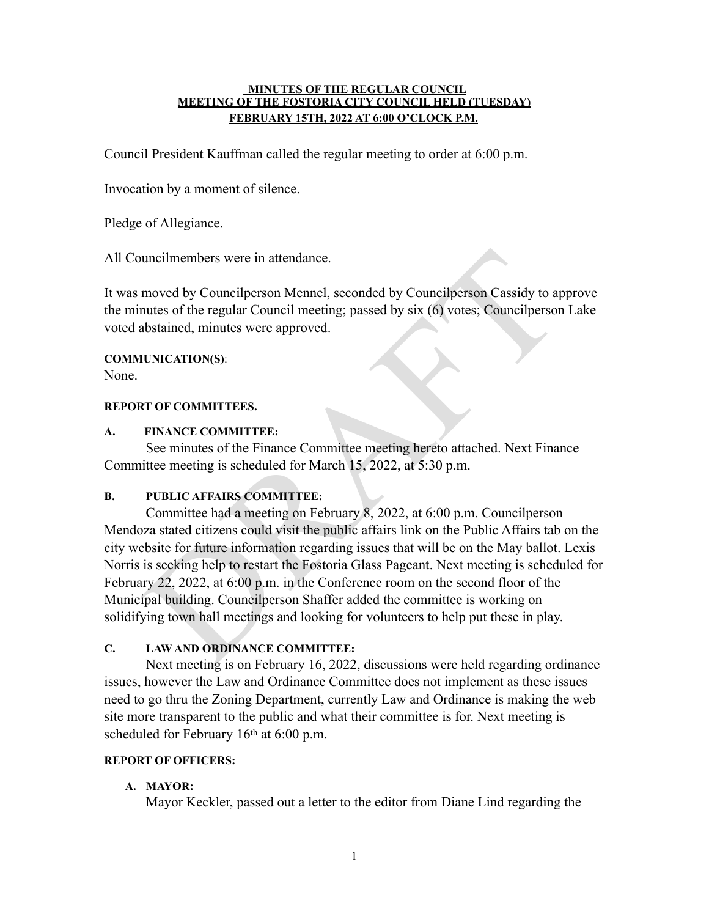#### **MINUTES OF THE REGULAR COUNCIL MEETING OF THE FOSTORIA CITY COUNCIL HELD (TUESDAY) FEBRUARY 15TH, 2022 AT 6:00 O'CLOCK P.M.**

Council President Kauffman called the regular meeting to order at 6:00 p.m.

Invocation by a moment of silence.

Pledge of Allegiance.

All Councilmembers were in attendance.

It was moved by Councilperson Mennel, seconded by Councilperson Cassidy to approve the minutes of the regular Council meeting; passed by six (6) votes; Councilperson Lake voted abstained, minutes were approved.

# **COMMUNICATION(S)**:

None.

## **REPORT OF COMMITTEES.**

## **A. FINANCE COMMITTEE:**

See minutes of the Finance Committee meeting hereto attached. Next Finance Committee meeting is scheduled for March 15, 2022, at 5:30 p.m.

## **B. PUBLIC AFFAIRS COMMITTEE:**

uncilmembers were in attendance.<br>
moved by Councilperson Mennel, seconded by Councilperson Cassidy to a<br>
mutes of the regular Council meeting; passed by six (6) votes; Councilperson<br>
abstained, minutes were approved.<br>
EVIN Committee had a meeting on February 8, 2022, at 6:00 p.m. Councilperson Mendoza stated citizens could visit the public affairs link on the Public Affairs tab on the city website for future information regarding issues that will be on the May ballot. Lexis Norris is seeking help to restart the Fostoria Glass Pageant. Next meeting is scheduled for February 22, 2022, at 6:00 p.m. in the Conference room on the second floor of the Municipal building. Councilperson Shaffer added the committee is working on solidifying town hall meetings and looking for volunteers to help put these in play.

## **C. LAW AND ORDINANCE COMMITTEE:**

Next meeting is on February 16, 2022, discussions were held regarding ordinance issues, however the Law and Ordinance Committee does not implement as these issues need to go thru the Zoning Department, currently Law and Ordinance is making the web site more transparent to the public and what their committee is for. Next meeting is scheduled for February 16<sup>th</sup> at 6:00 p.m.

## **REPORT OF OFFICERS:**

## **A. MAYOR:**

Mayor Keckler, passed out a letter to the editor from Diane Lind regarding the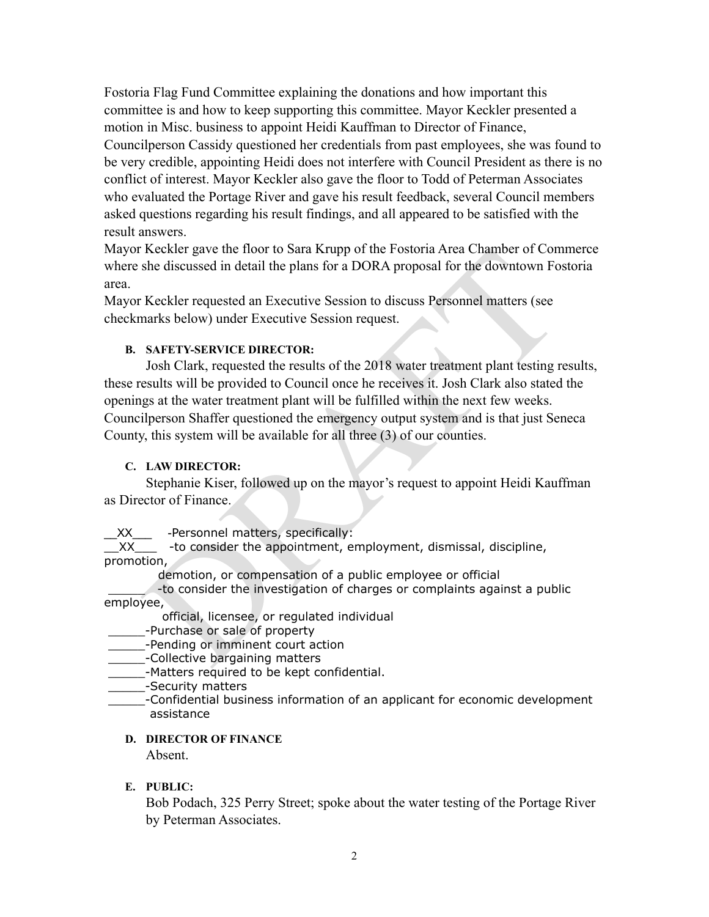Fostoria Flag Fund Committee explaining the donations and how important this committee is and how to keep supporting this committee. Mayor Keckler presented a motion in Misc. business to appoint Heidi Kauffman to Director of Finance, Councilperson Cassidy questioned her credentials from past employees, she was found to be very credible, appointing Heidi does not interfere with Council President as there is no conflict of interest. Mayor Keckler also gave the floor to Todd of Peterman Associates who evaluated the Portage River and gave his result feedback, several Council members asked questions regarding his result findings, and all appeared to be satisfied with the result answers.

Mayor Keckler gave the floor to Sara Krupp of the Fostoria Area Chamber of Commerce where she discussed in detail the plans for a DORA proposal for the downtown Fostoria area.

Mayor Keckler requested an Executive Session to discuss Personnel matters (see checkmarks below) under Executive Session request.

## **B. SAFETY-SERVICE DIRECTOR:**

Keckler gave the Hoor to Sara Krupp of the Fostoria Area Chamber of Com<br>she discussed in detail the plans for a DORA proposal for the downtown Fo<br>Keckler requested an Exceutive Session to discuss Personnel matters (see<br>nar Josh Clark, requested the results of the 2018 water treatment plant testing results, these results will be provided to Council once he receives it. Josh Clark also stated the openings at the water treatment plant will be fulfilled within the next few weeks. Councilperson Shaffer questioned the emergency output system and is that just Seneca County, this system will be available for all three (3) of our counties.

## **C. LAW DIRECTOR:**

Stephanie Kiser, followed up on the mayor's request to appoint Heidi Kauffman as Director of Finance.

XX - Personnel matters, specifically:

\_\_XX\_\_\_ -to consider the appointment, employment, dismissal, discipline, promotion,

demotion, or compensation of a public employee or official

 \_\_\_\_\_ -to consider the investigation of charges or complaints against a public employee,

official, licensee, or regulated individual

- \_\_\_\_\_-Purchase or sale of property
- \_\_\_\_\_-Pending or imminent court action
- \_\_\_\_\_-Collective bargaining matters
- \_\_\_\_\_-Matters required to be kept confidential.
- \_\_\_\_\_-Security matters
- \_\_\_\_\_-Confidential business information of an applicant for economic development assistance

## **D. DIRECTOR OF FINANCE**

Absent.

## **E. PUBLIC:**

Bob Podach, 325 Perry Street; spoke about the water testing of the Portage River by Peterman Associates.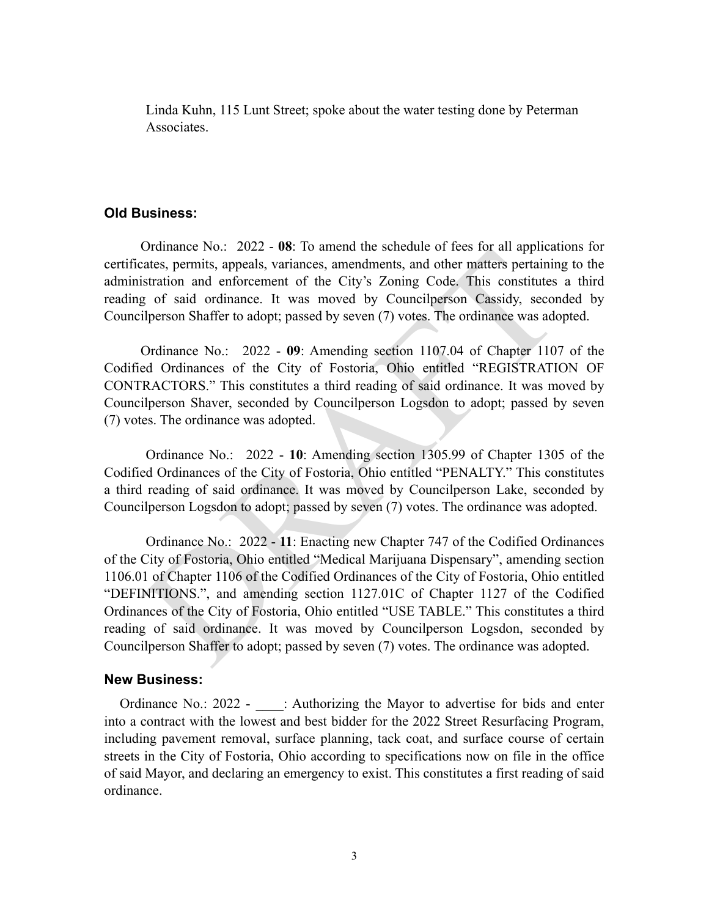Linda Kuhn, 115 Lunt Street; spoke about the water testing done by Peterman Associates.

## **Old Business:**

Ordinance No.: 2022 - **08**: To amend the schedule of fees for all applications for certificates, permits, appeals, variances, amendments, and other matters pertaining to the administration and enforcement of the City's Zoning Code. This constitutes a third reading of said ordinance. It was moved by Councilperson Cassidy, seconded by Councilperson Shaffer to adopt; passed by seven (7) votes. The ordinance was adopted.

Ordinance No.: 2022 - **09**: Amending section 1107.04 of Chapter 1107 of the Codified Ordinances of the City of Fostoria, Ohio entitled "REGISTRATION OF CONTRACTORS." This constitutes a third reading of said ordinance. It was moved by Councilperson Shaver, seconded by Councilperson Logsdon to adopt; passed by seven (7) votes. The ordinance was adopted.

Ordinance No.: 2022 - **10**: Amending section 1305.99 of Chapter 1305 of the Codified Ordinances of the City of Fostoria, Ohio entitled "PENALTY." This constitutes a third reading of said ordinance. It was moved by Councilperson Lake, seconded by Councilperson Logsdon to adopt; passed by seven (7) votes. The ordinance was adopted.

ordinance too. 2022 - 10: Amend in estation (110 and in estation and the station and the station and enforcement of the City's Zoning Code. This constitutes g of said ordinance. It was moved by Councilperson Cassidy, secon Ordinance No.: 2022 - **11**: Enacting new Chapter 747 of the Codified Ordinances of the City of Fostoria, Ohio entitled "Medical Marijuana Dispensary", amending section 1106.01 of Chapter 1106 of the Codified Ordinances of the City of Fostoria, Ohio entitled "DEFINITIONS.", and amending section 1127.01C of Chapter 1127 of the Codified Ordinances of the City of Fostoria, Ohio entitled "USE TABLE." This constitutes a third reading of said ordinance. It was moved by Councilperson Logsdon, seconded by Councilperson Shaffer to adopt; passed by seven (7) votes. The ordinance was adopted.

#### **New Business:**

Ordinance No.: 2022 - : Authorizing the Mayor to advertise for bids and enter into a contract with the lowest and best bidder for the 2022 Street Resurfacing Program, including pavement removal, surface planning, tack coat, and surface course of certain streets in the City of Fostoria, Ohio according to specifications now on file in the office of said Mayor, and declaring an emergency to exist. This constitutes a first reading of said ordinance.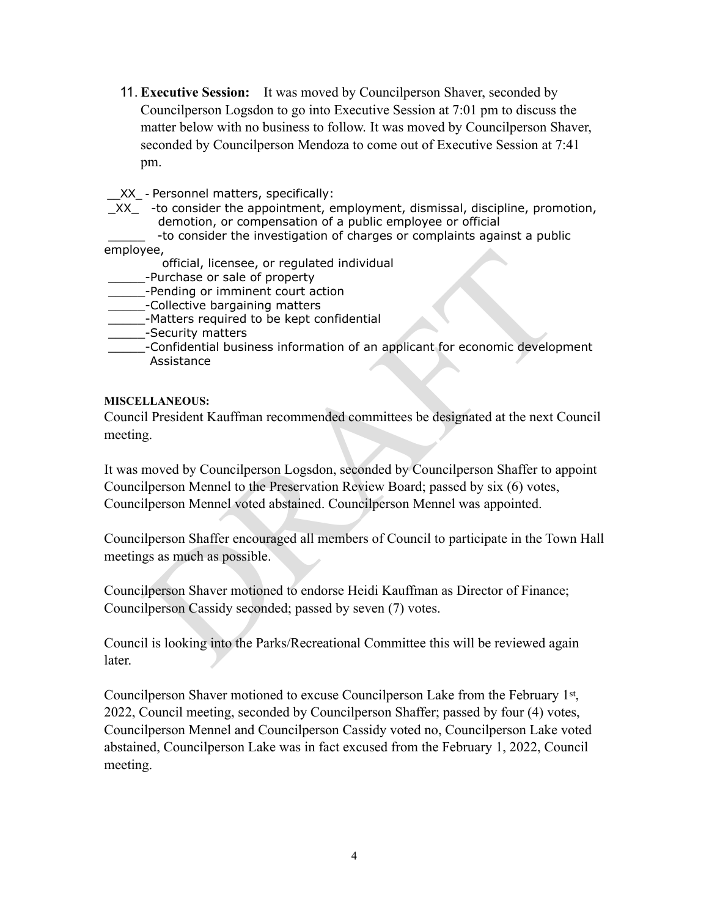11. **Executive Session:** It was moved by Councilperson Shaver, seconded by Councilperson Logsdon to go into Executive Session at 7:01 pm to discuss the matter below with no business to follow. It was moved by Councilperson Shaver, seconded by Councilperson Mendoza to come out of Executive Session at 7:41 pm.

XX - Personnel matters, specifically:

 $XX$  -to consider the appointment, employment, dismissal, discipline, promotion, demotion, or compensation of a public employee or official

-to consider the investigation of charges or complaints against a public employee,

- official, licensee, or regulated individual
- \_\_\_\_\_-Purchase or sale of property
- \_\_\_\_\_-Pending or imminent court action
- \_\_\_\_\_-Collective bargaining matters
- \_\_\_\_\_-Matters required to be kept confidential
- \_\_\_\_\_-Security matters
- \_\_\_\_\_-Confidential business information of an applicant for economic development Assistance

#### **MISCELLANEOUS:**

Council President Kauffman recommended committees be designated at the next Council meeting.

Solution: Then threm are of property<br>
official, licensee, or regulated individual<br>
-Purchase or sale of property<br>
-Collective bargaining matters<br>
-Matters required to be kept confidential<br>
-Matters required to be kept conf It was moved by Councilperson Logsdon, seconded by Councilperson Shaffer to appoint Councilperson Mennel to the Preservation Review Board; passed by six (6) votes, Councilperson Mennel voted abstained. Councilperson Mennel was appointed.

Councilperson Shaffer encouraged all members of Council to participate in the Town Hall meetings as much as possible.

Councilperson Shaver motioned to endorse Heidi Kauffman as Director of Finance; Councilperson Cassidy seconded; passed by seven (7) votes.

Council is looking into the Parks/Recreational Committee this will be reviewed again later.

Councilperson Shaver motioned to excuse Councilperson Lake from the February 1st, 2022, Council meeting, seconded by Councilperson Shaffer; passed by four (4) votes, Councilperson Mennel and Councilperson Cassidy voted no, Councilperson Lake voted abstained, Councilperson Lake was in fact excused from the February 1, 2022, Council meeting.